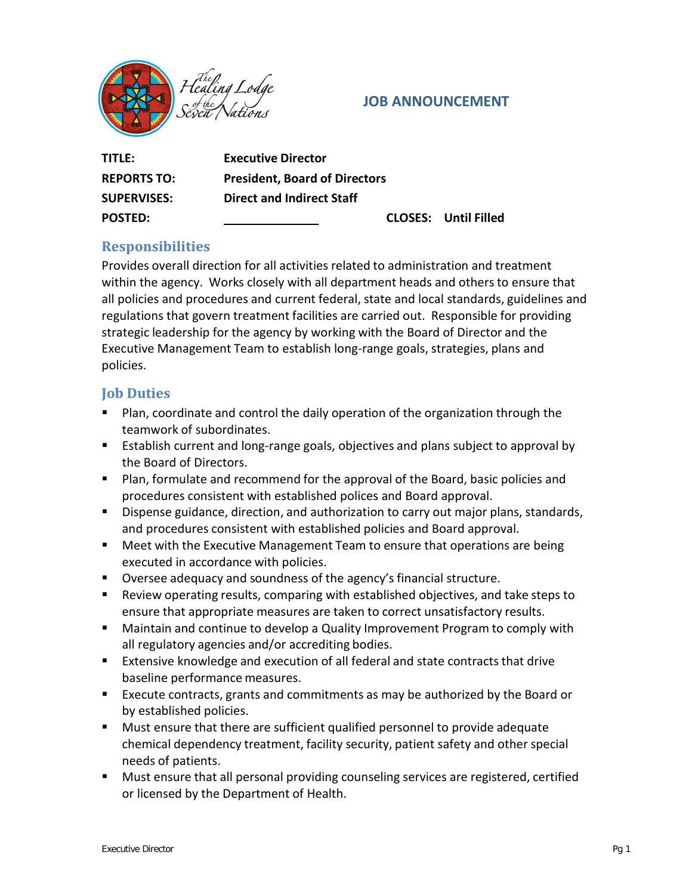

### **JOB ANNOUNCEMENT**

| TITLE:             | <b>Executive Director</b>            |                             |
|--------------------|--------------------------------------|-----------------------------|
| <b>REPORTS TO:</b> | <b>President, Board of Directors</b> |                             |
| <b>SUPERVISES:</b> | <b>Direct and Indirect Staff</b>     |                             |
| <b>POSTED:</b>     |                                      | <b>CLOSES: Until Filled</b> |

# **Responsibilities**

Provides overall direction for all activities related to administration and treatment within the agency. Works closely with all department heads and others to ensure that all policies and procedures and current federal, state and local standards, guidelines and regulations that govern treatment facilities are carried out. Responsible for providing strategic leadership for the agency by working with the Board of Director and the Executive Management Team to establish long-range goals, strategies, plans and policies.

### **Job Duties**

- **Plan, coordinate and control the daily operation of the organization through the** teamwork of subordinates.
- **E** Establish current and long-range goals, objectives and plans subject to approval by the Board of Directors.
- Plan, formulate and recommend for the approval of the Board, basic policies and procedures consistent with established polices and Board approval.
- Dispense guidance, direction, and authorization to carry out major plans, standards, and procedures consistent with established policies and Board approval.
- **Meet with the Executive Management Team to ensure that operations are being** executed in accordance with policies.
- Oversee adequacy and soundness of the agency's financial structure.
- Review operating results, comparing with established objectives, and take steps to ensure that appropriate measures are taken to correct unsatisfactory results.
- **EXT** Maintain and continue to develop a Quality Improvement Program to comply with all regulatory agencies and/or accrediting bodies.
- Extensive knowledge and execution of all federal and state contracts that drive baseline performance measures.
- Execute contracts, grants and commitments as may be authorized by the Board or by established policies.
- Must ensure that there are sufficient qualified personnel to provide adequate chemical dependency treatment, facility security, patient safety and other special needs of patients.
- Must ensure that all personal providing counseling services are registered, certified or licensed by the Department of Health.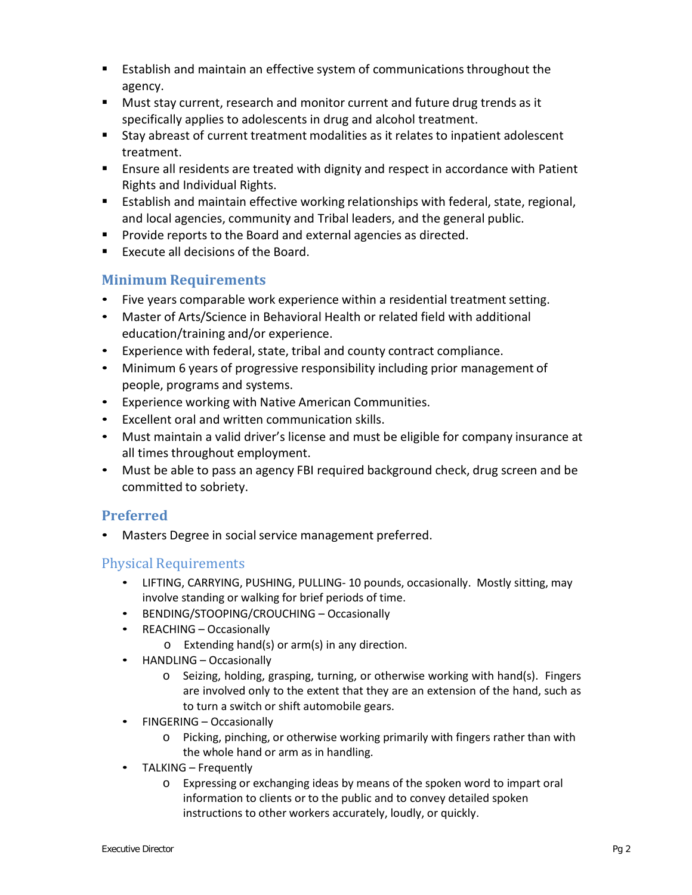- Establish and maintain an effective system of communicationsthroughout the agency.
- **Must stay current, research and monitor current and future drug trends as it** specifically applies to adolescents in drug and alcohol treatment.
- Stay abreast of current treatment modalities as it relates to inpatient adolescent treatment.
- Ensure all residents are treated with dignity and respect in accordance with Patient Rights and Individual Rights.
- Establish and maintain effective working relationships with federal, state, regional, and local agencies, community and Tribal leaders, and the general public.
- **Provide reports to the Board and external agencies as directed.**
- $\blacksquare$  Execute all decisions of the Board.

## **Minimum Requirements**

- Five years comparable work experience within a residential treatment setting.
- Master of Arts/Science in Behavioral Health or related field with additional education/training and/or experience.
- Experience with federal, state, tribal and county contract compliance.
- Minimum 6 years of progressive responsibility including prior management of people, programs and systems.
- Experience working with Native American Communities.
- Excellent oral and written communication skills.
- Must maintain a valid driver's license and must be eligible for company insurance at all times throughout employment.
- Must be able to pass an agency FBI required background check, drug screen and be committed to sobriety.

# **Preferred**

Masters Degree in social service management preferred.

### Physical Requirements

- LIFTING, CARRYING, PUSHING, PULLING- 10 pounds, occasionally. Mostly sitting, may involve standing or walking for brief periods of time.
- BENDING/STOOPING/CROUCHING Occasionally
- REACHING Occasionally
	- o Extending hand(s) or arm(s) in any direction.
- HANDLING Occasionally
	- o Seizing, holding, grasping, turning, or otherwise working with hand(s). Fingers are involved only to the extent that they are an extension of the hand, such as to turn a switch or shift automobile gears.
- FINGERING Occasionally
	- o Picking, pinching, or otherwise working primarily with fingers rather than with the whole hand or arm as in handling.
- TALKING Frequently
	- o Expressing or exchanging ideas by means of the spoken word to impart oral information to clients or to the public and to convey detailed spoken instructions to other workers accurately, loudly, or quickly.